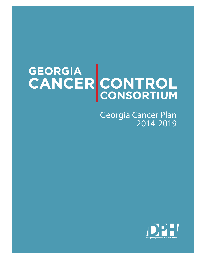# GEORGIA<br>CANCER CONTROL

Georgia Cancer Plan 2014-2019

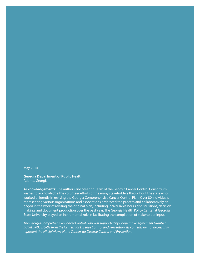May 2014

#### **Georgia Department of Public Health**

Atlanta, Georgia

**Acknowledgements:** The authors and Steering Team of the Georgia Cancer Control Consortium wishes to acknowledge the volunteer efforts of the many stakeholders throughout the state who worked diligently in revising the Georgia Comprehensive Cancer Control Plan. Over 80 individuals representing various organizations and associations embraced the process and collaboratively engaged in the work of revising the original plan, including incalculable hours of discussions, decision making, and document production over the past year. The Georgia Health Policy Center at Georgia State University played an instrumental role in facilitating the compilation of stakeholder input.

*The Georgia Comprehensive Cancer Control Plan was supported by Cooperative Agreement Number 5U58DP003875-02 from the Centers for Disease Control and Prevention. Its contents do not necessarily represent the official views of the Centers for Disease Control and Prevention.*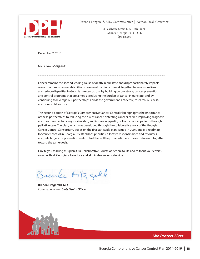

Brenda Fitzgerald, MD, Commissioner | Nathan Deal, Governor

2 Peachtree Street NW, 15th Floor Atlanta, Georgia 30303-3142 dph.ga.gov

December 2, 2013

My Fellow Georgians:

Cancer remains the second leading cause of death in our state and disproportionately impacts some of our most vulnerable citizens. We must continue to work together to save more lives and reduce disparities in Georgia. We can do this by building on our strong cancer prevention and control programs that are aimed at reducing the burden of cancer in our state, and by continuing to leverage our partnerships across the government, academic, research, business, and non-profit sectors.

.....................................................................................................................................................................................................

This second edition of Georgia's Comprehensive Cancer Control Plan highlights the importance of these partnerships to reducing the risk of cancer; detecting cancers earlier; improving diagnosis and treatment; enhancing survivorship; and improving quality of life for cancer patients through palliative care. The plan, which was developed through the collaborative work of the Georgia Cancer Control Consortium, builds on the first statewide plan, issued in 2007, and is a roadmap for cancer control in Georgia. It establishes priorities; allocates responsibilities and resources; and, sets targets for prevention and control that will help to continue to move us forward together toward the same goals.

I invite you to bring this plan, Our Collaborative Course of Action, to life and to focus your efforts along with all Georgians to reduce and eliminate cancer statewide.

Brenke Fitz gall

**Brenda Fitzgerald, MD** *Commissioner and State Health Officer*



**We Protect Lives.**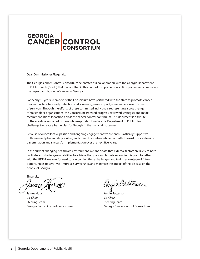# GEORGIA<br>CANCER CONTROL

Dear Commissioner Fitzgerald,

The Georgia Cancer Control Consortium celebrates our collaboration with the Georgia Department of Public Health (GDPH) that has resulted in this revised comprehensive action plan aimed at reducing the impact and burden of cancer in Georgia.

For nearly 10 years, members of the Consortium have partnered with the state to promote cancer provention, facilitate early detection and screening, ensure quality care and address the needs of survivors. Through the efforts of these committed individuals representing a broad range of stakeholder organizations, the Consortium assessed progress, reviewed strategies and made to the efforts of engaged citizens who responded to a Georgia Department of Public Health challenge to create a battle plan for Georgia in the war against cancer. recommendations for action across the cancer control continuum. This document is a tribute

Because of our collective passion and ongoing engagement we are enthusiastically supportive of this revised plan and its priorities, and commit ourselves wholeheartedly to assist in its statewide<br>discomination and successful implementation over the next five years both facilitate and challenge our abilities to achieve the goals and targets set out in this plan. or this revised plan and its phonties, and commit ourselves wholehealtedly to assist in its statewide<br>dissemination and successful implementation over the next five years. both facilitate and challenge our abilities to achieve the goals and targets set out in this plan.

In the current changing healthcare environment, we anticipate that external factors are likely to both facilitate and challenge our abilities to achieve the goals and targets set out in this plan. Together with the GDPH, we look forward to overcoming these challenges and taking advantage of future<br>consistential to the people of innoversing the people conditioning the immediately discovered by people of Georgia. opportunities to save lives, improve survivorship, and minimize the impact of this disease on the

Sincerely,

tome

James Hotz MD. James Hotz MD. Steering Team Steering Team Ceord Co-Chair Co-Chair Georgia Cancer Control Consortium Georgia Cancer Control Consortium**James Hotz Angie Patterson** *Co-Chair Co-Chair*

Angie Patterson

Angie Patterson Angie Patterson Steering Team Steering Team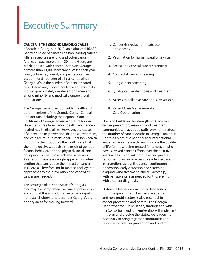### Executive Summary

#### **CANCER IS THE SECOND LEADING CAUSE**

of death in Georgia. In 2013, an estimated 16,630 Georgians died of cancer. The two leading cancer killers in Georgia are lung and colon cancer. And, each day, more than 120 more Georgians are diagnosed with cancer. That is an average of more than 41,000 new cancer cases each year. Lung, colorectal, breast, and prostate cancer account for 51 percent of all cancer deaths in Georgia. While the burden of cancer is shared by all Georgians, cancer incidence and mortality is disproportionately greater among men and among minority and medically underserved populations.

The Georgia Department of Public Health and other members of the Georgia Cancer Control Consortium, including the Regional Cancer Coalitions of Georgia envision a future for our state that is free from cancer deaths and cancerrelated health disparities. However, the causes of cancer and its prevention, diagnosis, treatment, and care are multi-dimensional. A person's health is not only the product of the health care that she or he receives, but also the result of genetic factors, behavior, and the physical, social, and policy environment in which she or he lives. As a result, there is no single approach or intervention that can reduce the impact of cancer in Georgia. Therefore, multi-faceted and layered approaches to the prevention and control of cancer are needed.

This strategic plan is the State of Georgia's roadmap for comprehensive cancer prevention and control. It is a product of extensive input from stakeholders, and describes Georgia's eight priority areas for moving forward —

- 1. Cancer risk reduction tobacco and obesity
- 2. Vaccination for human papilloma virus
- 3. Breast and cervical cancer screening
- 4. Colorectal cancer screening
- 5. Lung cancer screening
- 6. Quality cancer diagnosis and treatment
- 7. Access to palliative care and survivorship
- 8. Patient Case Management and Care Coordination

The plan builds on the strengths of Georgia's cancer prevention, research, and treatment communities. It lays out a path forward to reduce the number of cancer deaths in Georgia, maintain Georgia's place as a national and international leader in cancer research, and improve the quality of life for those being treated for cancer, or who have survived cancer. Efforts over the next five years will focus on linking public and private resources to increase access to evidence-based interventions across the cancer continuum: prevention, early detection and screening, diagnosis and treatment, and survivorship, with palliative care as needed for those living with a cancer diagnosis.

Statewide leadership, including leadership from the government, business, academic, and non-profit sectors is also essential to cancer prevention and control. The Georgia Departmentof Public Health, through and with the Consortium and its membership, will implement this plan and provide the statewide leadership necessary to bring together communities and resources for cancer prevention and control.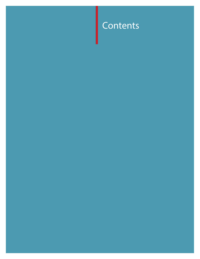### Contents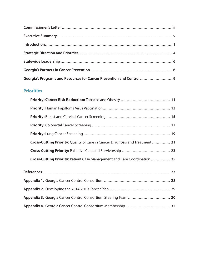| Georgia's Programs and Resources for Cancer Prevention and Control  9 |  |
|-----------------------------------------------------------------------|--|

### **Priorities**

| <b>Cross-Cutting Priority:</b> Quality of Care in Cancer Diagnosis and Treatment  21 |  |
|--------------------------------------------------------------------------------------|--|
|                                                                                      |  |
| Cross-Cutting Priority: Patient Case Management and Care Coordination  25            |  |
|                                                                                      |  |
|                                                                                      |  |
|                                                                                      |  |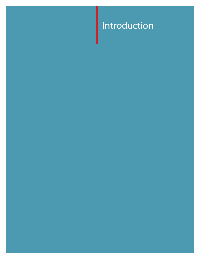### Introduction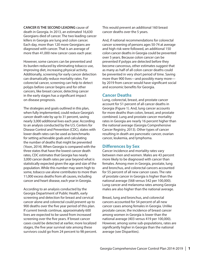**CANCER IS THE SECOND LEADING** cause of death in Georgia. In 2013, an estimated 16,630 Georgians died of cancer. The two leading cancer killers in Georgia are lung and colon cancer. Each day, more than 120 more Georgians are diagnosed with cancer. That is an average of more than 41,000 new cancer cases each year.

However, some cancers can be prevented and its burden reduced by eliminating tobacco use, improving diet, increasing physical activity. Additionally, screening for early cancer detection can dramatically reduce mortality rates. For colorectal cancer, screening can help to detect polyps before cancer begins and for other cancers, like breast cancer, detecting cancer in the early stages has a significant impact on disease prognosis.

The strategies and goals outlined in this plan, when fully implemented, could reduce Georgia's cancer death rate by up to 31 percent, saving nearly 3,000 additional lives each year. According to an analysis conducted by the U.S. Centers for Disease Control and Prevention (CDC), states with lower death rates can be used as benchmarks for setting achievable goals and calculating the number of deaths that might be prevented (Yoon, 2014). When Georgia is compared with the three states that have the lowest cancer death rates, CDC estimates that Georgia has nearly 3,000 cancer death rates per year beyond what is statistically expected given the age and size of the population. While this number may seem high to some, tobacco use alone contributes to more than 11,000 excess deaths from all causes, including cancer and heart disease, each year in Georgia.

According to an analysis conducted by the Georgia Department of Public Health, early screening and detection for breast and cervical cancer alone and colorectal could prevent up to 900 deaths over the five year period of this plan. If current trends continue, approximately 600 lives are expected to be saved from increased screening over the five years. If breast cancer cases could be detected at earlier, more localized stages, the five year survival rate among these survivors could go from 24 percent to 98 percent. This would prevent an additional 160 breast cancer deaths over the 5 years.

And, if national recommendations for colorectal cancer screening of persons ages 50-74 at average and high risk were followed, an additional 150 colon cancer deaths in Georgia could be prevented over 5 years. Because colon cancer can be prevented if polyps are detected before they become cancerous, other estimates suggest that as many as half of all colon cancer deaths could be prevented in very short period of time. Saving more than 900 lives—and possibly many more by 2019 from cancer would have significant social and economic benefits for Georgia.

#### **Cancer Deaths**

Lung, colorectal, breast, and prostate cancer account for 51 percent of all cancer deaths in Georgia (Figure 1). And, lung cancer accounts for more deaths than colon, breast, and prostate combined. Lung and prostate cancer mortality rates in Georgia are nearly 16 percent higher than the national average (Georgia Comprehensive Cancer Registry, 2013). Other types of cancer resulting in death are pancreatic cancer, ovarian cancer, leukemia, and lymphoma.

#### **Differences by Sex**

Cancer incidence and mortality rates vary between men and women. Males are 43 percent more likely to be diagnosed with cancer than females. Among men in Georgia, prostate, lung and bronchus, and colorectal cancers accounted for 55 percent of all new cancer cases. The rate of prostate cancer in Georgia is higher than the national average (568 versus 542 per 100,000). Lung cancer and melanoma rates among Georgia males are also higher than the national average.

Breast, lung and bronchus, and colorectal cancers accounted for 54 percent of all new cancer cases among females in Georgia. Unlike prostate cancer, the incidence of breast cancer among women in Georgia is lower than the national average (403 versus 419 per 100,000). However, among some sub-populations, rates are significantly higher in Georgia than the national average (see Disparities).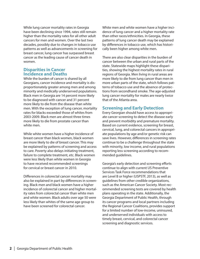While lung cancer mortality rates in Georgia have been declining since 1994, rates still remain higher than the mortality rates for all other adult cancers for men and women. Over the last two decades, possibly due to changes in tobacco use patterns as well as advancements in screening for breast cancer, lung cancer has surpassed breast cancer as the leading cause of cancer death in women.

#### **Disparities in Cancer Incidence and Deaths**

While the burden of cancer is shared by all Georgians, cancer incidence and mortality is disproportionately greater among men and among minority and medically underserved populations. Black men in Georgia are 14 percent more likely to be diagnosed with cancer and 31 percent more likely to die from the disease than white men. With the exception of lung cancer, mortality rates for blacks exceeded those of whites from 2003-2009. Black men are almost three times more likely to die from prostate cancer than white men.

While white women have a higher incidence of breast cancer than black women, black women are more likely to die of breast cancer. This may be explained by patterns of screening and access to care. Poverty also delays initiating treatment, failure to complete treatment, etc. Black women were less likely than white women in Georgia to have received recommended screenings for cervical or breast cancer in 2010.

Differences in colorectal cancer mortality may also be explained in part by differences in screening. Black men and black women have a higher incidence of colorectal cancer and higher mortality rates from colorectal cancer than white men and white women. Black adults over age 50 were less likely than whites of the same age group to have been screened for colorectal cancer.

White men and white women have a higher incidence of lung cancer and a higher mortality rate than other races/ethnicities. In Georgia, these patterns of lung cancer death may be explained by differences in tobacco use, which has historically been higher among white men.

There are also clear disparities in the burden of cancer between the urban and rural parts of the state. Statewide maps highlight these disparities, showing the highest mortality rates in rural regions of Georgia. Men living in rural areas are more likely to die from lung cancer than men in more urban parts of the state, which follows patterns of tobacco use and the absence of protections from secondhand smoke. The age-adjusted lung cancer mortality for males are nearly twice that of the Atlanta area.

### **Screening and Early Detection**

Every Georgian should have access to appropriate cancer screening to detect the disease early and prevent morbidity and premature mortality. Based on current evidence, screening for breast, cervical, lung, and colorectal cancers in appropriate populations by age and/or genetic risk can save lives. However, differences in screening rates continue to be a challenge throughout the state with minority, low income, and rural populations reporting less screening according to recommended guidelines.

Georgia's early detection and screening efforts continue to align with current US Preventive Services Task Force recommendations that are Level B or higher (USPSTF, 2013), as well as guidelines from other credible organizations, such as the American Cancer Society. Most recommended screening tests are covered by health plans operating in the state. Additionally, the Georgia Department of Public Health, through its cancer programs and local partners including the Regional Cancer Coalitions, provides support for a limited number of low-income, uninsured, and underserved individuals with access to timely breast, cervical, and colorectal cancer screening and diagnostic services.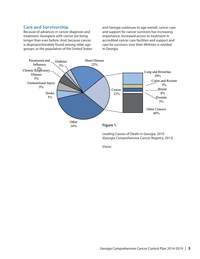### **Care and Survivorship**

Because of advances in cancer diagnosis and treatment, Georgians with cancer are living longer than ever before. And, because cancer is disproportionately found among older age groups, as the population of the United States and Georgia continues to age overall, cancer care and support for cancer survivors has increasing importance. Increased access to treatment in accredited cancer care facilities and support and care for survivors over their lifetimes is needed in Georgia.



Leading Causes of Death in Georgia, 2010 (Georgia Comprehensive Cancer Registry, 2013)

Vision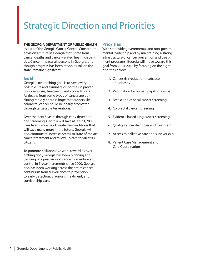### Strategic Direction and Priorities

#### **THE GEORGIA DEPARTMENT OF PUBLIC HEALTH**,

as part of the Georgia Cancer Control Consortium, envision a future in Georgia that is free from cancer deaths and cancer-related health disparities. Cancer impacts all persons in Georgia, and though progress has been made, its toll on the state, remains significant.

### **Goal**

Georgia's overarching goal is to save every possible life and eliminate disparities in prevention, diagnosis, treatment, and access to care. As deaths from some types of cancer are declining rapidly, there is hope that cancers like colorectal cancer could be nearly eradicated through targeted interventions.

Over the next 5 years through early detection and screening, Georgia will save at least 1,200 lives from cancer, and create the conditions that will save many more in the future. Georgia will also continue to increase access to state of the art cancer treatment and follow up care for all of its citizens.

To promote collaborative work toward its overarching goal, Georgia has been planning and tracking progress around cancer prevention and control in 5-year increments since 2000. Georgia also has been working across the entire cancer continuum from surveillance to prevention to early detection, diagnosis, treatment, and survivorship care.

### **Priorities**

With statewide governmental and non-governmental leadership and by maintaining a strong infrastructure of cancer prevention and treatment programs, Georgia will move toward this goal from 2014-2019 by focusing on the eight priorities below.

- 1. Cancer risk reduction tobacco and obesity
- 2. Vaccination for human papilloma virus
- 3. Breast and cervical cancer screening
- 4. Colorectal cancer screening
- 5. Evidence based lung cancer screening
- 6. Quality cancer diagnosis and treatment
- 7. Access to palliative care and survivorship
- 8. Patient Case Management and Care Coordination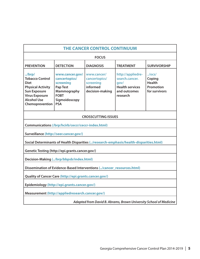| <b>THE CANCER CONTROL CONTINUUM</b>                                                                                                                                                                                                                                                                                                                                                                                                                                                                                                                             |                                                                                 |                                                                                        |  |  |  |  |
|-----------------------------------------------------------------------------------------------------------------------------------------------------------------------------------------------------------------------------------------------------------------------------------------------------------------------------------------------------------------------------------------------------------------------------------------------------------------------------------------------------------------------------------------------------------------|---------------------------------------------------------------------------------|----------------------------------------------------------------------------------------|--|--|--|--|
| <b>FOCUS</b>                                                                                                                                                                                                                                                                                                                                                                                                                                                                                                                                                    |                                                                                 |                                                                                        |  |  |  |  |
| <b>PREVENTION</b>                                                                                                                                                                                                                                                                                                                                                                                                                                                                                                                                               | <b>DETECTION</b><br><b>DIAGNOSIS</b><br><b>TREATMENT</b><br><b>SURVIVORSHIP</b> |                                                                                        |  |  |  |  |
| http://appliedre-<br>$.$ /brp/<br>www.cancer.gov/<br>www.cancer/<br>$.$ /ocs/<br><b>Tobacco Control</b><br>cancertopics/<br>search.cancer.<br>cancertopics/<br>Coping<br>screening<br><b>Health</b><br><b>Diet</b><br>screening<br>qov/<br>informed<br><b>Health services</b><br>Promotion<br><b>Pap Test</b><br><b>Physical Activity</b><br>Mammography<br>decision-making<br>for survivors<br><b>Sun Exposure</b><br>and outcomes<br><b>FOBT</b><br><b>Virus Exposure</b><br>research<br><b>Alcohol Use</b><br>Sigmoidoscopy<br><b>PSA</b><br>Chemoprevention |                                                                                 |                                                                                        |  |  |  |  |
|                                                                                                                                                                                                                                                                                                                                                                                                                                                                                                                                                                 |                                                                                 | <b>CROSSCUTTING ISSUES</b>                                                             |  |  |  |  |
|                                                                                                                                                                                                                                                                                                                                                                                                                                                                                                                                                                 | Communications (/brp/hcirb/ceccr/ceccr-index.html)                              |                                                                                        |  |  |  |  |
|                                                                                                                                                                                                                                                                                                                                                                                                                                                                                                                                                                 | Surveillance (http://seer.cancer.gov/)                                          |                                                                                        |  |  |  |  |
|                                                                                                                                                                                                                                                                                                                                                                                                                                                                                                                                                                 |                                                                                 | Social Determinants of Health Disparities (/research-emphasis/health-disparities.html) |  |  |  |  |
|                                                                                                                                                                                                                                                                                                                                                                                                                                                                                                                                                                 | Genetic Testing (http://epi.grants.cancer.gov/)                                 |                                                                                        |  |  |  |  |
| Decision-Making (/brp/bbpsb/index.html)                                                                                                                                                                                                                                                                                                                                                                                                                                                                                                                         |                                                                                 |                                                                                        |  |  |  |  |
| Dissemination of Evidence-Based Interventions (/cancer_resources.html)                                                                                                                                                                                                                                                                                                                                                                                                                                                                                          |                                                                                 |                                                                                        |  |  |  |  |
| Quality of Cancer Care (http://epi.grants.cancer.gov/)                                                                                                                                                                                                                                                                                                                                                                                                                                                                                                          |                                                                                 |                                                                                        |  |  |  |  |
| Epidemiology (http://epi.grants.cancer.gov/)                                                                                                                                                                                                                                                                                                                                                                                                                                                                                                                    |                                                                                 |                                                                                        |  |  |  |  |
| Measurement (http://appliedresearch.cancer.gov/)                                                                                                                                                                                                                                                                                                                                                                                                                                                                                                                |                                                                                 |                                                                                        |  |  |  |  |

*Adapted from David B. Abrams, Brown University School of Medicine*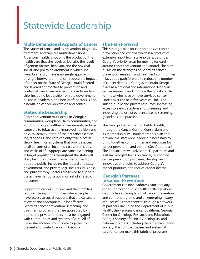### Statewide Leadership

### **Multi-Dimensional Aspects of Cancer**

The causes of cancer and its prevention, diagnosis, treatment, and care are multi-dimensional. A person's health is not only the product of the health care that she receives, but also the result of genetic factors, behavior, and the physical, social, and policy environment in which she lives. As a result, there is no single approach or single intervention that can reduce the impact of cancer on the State of Georgia; multi-faceted and layered approaches to prevention and control of cancer are needed. Statewide leadership, including leadership from the government, business, academic, and non-profit sectors is also essential to cancer prevention and control.

### **Statewide Leadership**

Cancer prevention must occur in Georgia's communities, workplaces, faith communities, and schools through healthier environments, reduced exposure to tobacco and improved nutrition and physical activity. State-of-the-art cancer screening, diagnosis, and care can only take place in strong health care systems that provide access to all persons of all incomes, races, ethnicities, and walks of life. Appropriate cancer screening in target populations throughout the state will likely be more successful when resources from both the public, including the federal and state government, and private (e.g., insurers, business, and philanthropy) sectors are linked to support the achievement of a common set of strategic outcomes.

Supporting cancer survivors and their families requires strong communities where people have access to social supports that are culturally relevant and appropriate. To be effective, Georgia's cancer prevention, screening, and treatment programs that are sponsored by public and private funders must be engaged with communities and systems of care. All of these stakeholders must come together to prevent and control cancer in Georgia.

### **The Path Forward**

This strategic plan for comprehensive cancer prevention and control, which is a product of extensive input from stakeholders, describes Georgia's priority areas for moving forward around cancer prevention and control. The plan builds on the strengths of Georgia's cancer prevention, research, and treatment communities. It lays out a path forward to reduce the number of cancer deaths in Georgia, maintain Georgia's place as a national and international leader in cancer research, and improve the quality of life for those who have or have survived cancer. Efforts over the next five years will focus on linking public and private resources, increasing access to early detection and screening, and increasing the use of evidence based screening guidelines and practice.

The Georgia Department of Public Health, through the Cancer Control Consortium and its membership, will implement this plan and provide the statewide leadership necessary to bring together communities and resources for cancer prevention and control (See Appendix 1). The Consortium will advise the Department and sustain Georgia's focus on cancer, re-imagine cancer prevention problems, develop new innovative strategies to address Georgia's cancer priorities, and reduce cancer deaths.

#### **Georgia's Partners in Cancer Prevention**

Government can never address cancer or any other significant public health challenge alone. Georgia has a strong fabric of cancer prevention and control programs, and an emerging history of successful cancer control through a network of partners, including the Department of Public Health, the Regional Cancer Coalitions, Georgia Center for Oncology Research and Education, Georgia Society of Clinical Oncologists, and national partners including the American Cancer Society. The complex causes and system of care for cancer make this fabric of programs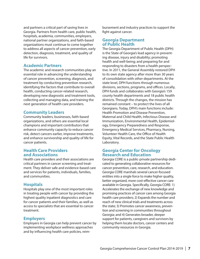and partners a critical part of saving lives in Georgia. Partners from health care, public health, hospitals, academia, communities, employers, national partner organizations, and faith-based organizations must continue to come together to address all aspects of cancer prevention, early detection, diagnosis, treatment, and quality of life for survivors.

### **Academic Partners**

The academic and research communities play an essential role in advancing the understanding of cancer prevention, screening, diagnosis, and treatment by conducting prevention research, identifying the factors that contribute to overall health, conducting cancer-related research, developing new diagnostic and treatment tools, collecting and managing data, and training the next generation of health care providers.

#### **Community Leaders**

Community leaders, businesses, faith-based organizations, and others are essential local champions and important contributors that enhance community capacity to reduce cancer risk, detect cancers earlier, improve treatments, and enhance survivorship and quality of life for cancer patients.

#### **Health Care Providers and Associations**

Health care providers and their associations are critical partners in cancer screening and treatment. They deliver safe and evidence-based care and services for patients, individuals, families, and communities.

### **Hospitals**

Hospitals play one of the most important roles in treating people with cancer by providing the highest quality inpatient diagnostics and care for cancer patients and their families, as well as access to specialists that are essential to cancer treatment.

### **Employers**

Employers in Georgia can help prevent cancer by implementing workplace wellness approaches and by influencing health care policies, reim-

bursement and industry practices to support the fight against cancer.

#### **Georgia Department of Public Health**

The Georgia Department of Public Health (DPH) is the State of Georgia's lead agency in preventing disease, injury and disability; promoting health and well-being; and preparing for and responding to disasters from a health perspective. In 2011, the General Assembly restored DPH to its own state agency after more than 30 years of consolidation with other departments. At the state level, DPH functions through numerous divisions, sections, programs, and offices. Locally, DPH funds and collaborates with Georgia's 159 county health departments and 18 public health districts. Through the changes, the mission has remained constant – to protect the lives of all Georgians. Today, DPH's main functions include: Health Promotion and Disease Prevention, Maternal and Child Health, Infectious Disease and Immunization, Environmental Health, Epidemiology, Emergency Preparedness and Response, Emergency Medical Services, Pharmacy, Nursing, Volunteer Health Care, the Office of Health Equity, Vital Records, and the State Public Health Laboratory.

### **Georgia Center for Oncology Research and Education**

Georgia CORE is a public-private partnership dedicated to generating collaborative resources for cancer prevention, care, research, and education. Georgia CORE marshals several cancer-focused entities into a single force to make higher quality, better organized, more cost-effective cancer care available in Georgia. Specifically, Georgia CORE: 1) Accelerates the exchange of new knowledge and promising practices of cancer care among Georgia health care providers; 2) Expands the number and reach of new clinical trials and treatments across the state; 3) Promotes cancer awareness, prevention and screening in communities throughout Georgia; and 4) Generates broader, deeper support for patients, caregivers and survivors by helping them locate doctors, cancer centers and community resources in Georgia.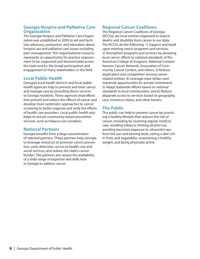### **Georgia Hospice and Palliative Care Organization**

The Georgia Hospice and Palliative Care Organization was established in 2009 to aid and facilitate advocacy, promotion, and education about hospice use and palliative care issues including pain management. This organizational resource represents an opportunity for practice improvement to be supported and disseminated across the state and for the broad participation and engagement of many stakeholders in the field.

### **Local Public Health**

Georgia's local health districts and local public health agencies help to prevent and treat cancer and manage care by providing direct services to Georgia residents. These agencies lead efforts that prevent and reduce the effects of cancer and develop more systematic approaches to cancer screening to better organize and unify the efforts of health care providers. Local public health also helps to ensure community-based preventive services, such as tobacco use cessation.

### **National Partners**

Georgia benefits from a large concentration of national partners. These partners help Georgia to leverage resources to promote cancer prevention, early detection, access to health care and social services, and reduce the state's cancer burden. The partners also assure the availability of a wide range of expertise and skills here in Georgia to address cancer.

### **Regional Cancer Coalitions**

The Regional Cancer Coalitions of Georgia (RCCGs) are local entities organized to reduce deaths and disability from cancer in our state. The RCCGs do the following: 1) Support and build upon existing cancer programs and services; 2) Strengthen programs and services by elevating local cancer efforts to national standards of the American College of Surgeons, National Comprehensive Cancer Network, Association of Community Cancer Centers, and others; 3) Reduce duplication and competition among cancerrelated entities; 4) Leverage state dollars and maximize opportunities for private investment; 5) Adapt statewide efforts based on national standards to local communities; and 6) Reduce disparate access to services based on geography, race, insurance status, and other factors.

### **The Public**

The public can help to prevent cancer by practicing a healthy lifestyle that reduces the risk of cancer, including by receiving regular medical care, avoiding tobacco, limiting alcohol use, avoiding excessive exposure to ultraviolet rays from the sun and tanning beds, eating a diet rich in fruits and vegetables, maintaining a healthy weight, and being physically active.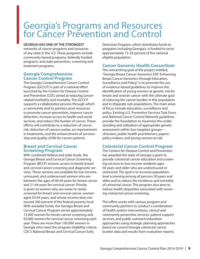### Georgia's Programs and Resources for Cancer Prevention and Control

#### **GEORGIA HAS ONE OF THE STRONGEST**

networks of cancer programs and resources of any state in the U.S. These programs include community-based programs, federally funded programs, and state prevention, screening and treatment programs.

### **Georgia Comprehensive Cancer Control Program**

The Georgia Comprehensive Cancer Control Program (GCCCP) is part of a national effort launched by the Centers for Disease Control and Prevention (CDC) aimed at reducing cancerrelated morbidity and mortality. The GCCCP supports a collaborative process through which a community and its partners pool resources to promote cancer prevention, improve cancer detection, increase access to health and social services, and reduce the burden of cancer. These efforts will contribute to a reduction of cancer risk, detection of cancers earlier, an improvement in treatments, and the enhancement of survivorship and quality of life for cancer patients.

### **Breast and Cervical Cancer Screening Program**

With combined federal and state funds, the Georgia Breast and Cervical Cancer Screening Program (BCCP) ensures access to timely breast and cervical cancer screening and diagnostic services. These services are available for low-income, uninsured, and underserved women who are between the ages of 40-64 years for breast cancer and 21-64 years for cervical cancer. Priority is given to women who are never or rarelyscreened for breast and cervical cancer, women aged 50-64 years, and whose income does not exceed 200 percent of the federal poverty level. With available funds, the Georgia Breast and Cervical Cancer Program serves approximately 15,000 women for breast cancer screening and 65,000 women for cervical cancer screening each year. There are more than 100,000 women in Georgia who meet the program eligibility criteria. CDC's National Breast and Cervical Cancer Early

Detection Program, which distributes funds to programs including Georgia's, is funded to serve approximately 15-20 percent of the national eligible population.

### **Cancer Genomic Health Consortium**

The overarching goal of the project entitled, "Georgia Breast Cancer Genomics ESP: Enhancing Breast Cancer Genomics through Education, Surveillance and Policy," is to promote the use of evidence-based guidelines to improve the identification of young women at genetic risk for breast and ovarian cancer with the ultimate goal of reducing the cancer burden in this population and in disparate sub-populations. The main areas of focus include education, surveillance and policy. Existing U.S. Preventive Services Task Force and National Cancer Control Network guidelines provide the foundation to maximize the understanding and utilization of appropriate genetic assessment within four targeted groups clinicians, public health practitioners, payers/ policy makers, and young women at risk.

### **Colorectal Cancer Control Program**

The Centers for Disease Control and Prevention has awarded the state of Georgia a grant to provide colorectal cancer education and screening services to low-income residents ages 50 years and older who are underinsured or uninsured. The goal is to increase populationlevel screening among all persons 50 years and older and to reduce the incidence and mortality of colorectal cancer. The program also aims to reduce health disparities associated with receiving colorectal cancer screening.

This effort works with various program and community partners to conduct a combination of health system interventions, clinical and community preventive services, patient support services, and public outreach/education approaches using strategic planning approaches based on current Georgia colorectal cancer burden data and results from evaluation reports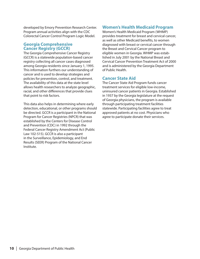developed by Emory Prevention Research Center. Program annual activities align with the CDC Colorectal Cancer Control Program Logic Model.

#### **Georgia Comprehensive Cancer Registry (GCCR)**

The Georgia Comprehensive Cancer Registry (GCCR) is a statewide population-based cancer registry collecting all cancer cases diagnosed among Georgia residents since January 1, 1995. This information furthers our understanding of cancer and is used to develop strategies and policies for prevention, control, and treatment. The availability of this data at the state level allows health researchers to analyze geographic, racial, and other differences that provide clues that point to risk factors.

This data also helps in determining where early detection, educational, or other programs should be directed. GCCR is a participant in the National Program for Cancer Registries (NPCR) that was established by the Centers for Disease Control and Prevention (CDC) in 1992 through the Federal Cancer Registry Amendment Act (Public Law 102-515). GCCR is also a participant in the Surveillance, Epidemiology, and End Results (SEER) Program of the National Cancer Institute.

### **Women's Health Medicaid Program**

Women's Health Medicaid Program (WHMP) provides treatment for breast and cervical cancer, as well as other Medicaid benefits, to women diagnosed with breast or cervical cancer through the Breast and Cervical Cancer program to eligible women in Georgia. WHMP was established in July 2001 by the National Breast and Cervical Cancer Prevention Treatment Act of 2000 and is administered by the Georgia Department of Public Health.

### **Cancer State Aid**

The Cancer State Aid Program funds cancer treatment services for eligible low-income, uninsured cancer patients in Georgia. Established in 1937 by the Georgia legislature at the request of Georgia physicians, the program is available through participating treatment facilities statewide. Participating facilities agree to treat approved patients at no cost. Physicians who agree to participate donate their services.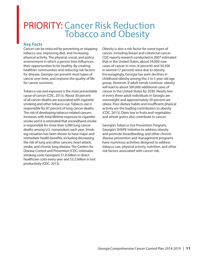### PRIORITY: Cancer Risk Reduction Tobacco and Obesity

### **Key Facts**

Cancer can be reduced by preventing or stopping tobacco use, improving diet, and increasing physical activity. The physical, social, and policy environment in which a person lives influences their opportunities to be healthy. By creating healthier communities and reducing risk factors for disease, Georgia can prevent most types of cancer over time, and improve the quality of life for cancer survivors.

Tobacco use and exposure is the most preventable cause of cancer (CDC, 2013). About 30 percent of all cancer deaths are associated with cigarette smoking and other tobacco use. Tobacco use is responsible for 87 percent of lung cancer deaths. The risk of developing tobacco-related cancers increases with total lifetime exposure to cigarette smoke and it is estimated that secondhand smoke is responsible for more than 3,000 lung cancer deaths among U.S. nonsmokers each year. Smoking cessation has been shown to have major and immediate health benefits, including decreasing the risk of lung and other cancers, heart attack, stroke, and chronic lung disease. The Centers for Disease Control and Prevention (CDC) estimates smoking costs Georgians \$1.8 billion in direct healthcare costs every year and \$3.2 billion in lost productivity (CDC, 2013).

Obesity is also a risk factor for some types of cancer, including breast and colorectal cancer. CDC reports research conducted in 2007 estimated that in the United States, about 34,000 new cases of cancer in men (4 percent) and 50,500 in women (7 percent) were due to obesity. Encouragingly, Georgia has seen declines in childhood obesity among the 2 to 5 year old age group. However, if adult trends continue, obesity will lead to about 500,000 additional cases of cancer in the United States by 2030. Nearly two in every three adult individuals in Georgia are overweight and approximately 30 percent are obese. Poor dietary habits and insufficient physical activity are the leading contributors to obesity (CDC, 2013). Diets low in fruits and vegetables and whole grains also contribute to cancer.

Georgia's Tobacco Use Prevention Program, Georgia's SHAPE Initiative to address obesity and promote breastfeeding, and other chronic disease prevention and management programs have numerous activities designed to address tobacco use, physical activity, nutrition, and other risk factors associated with cancer risk.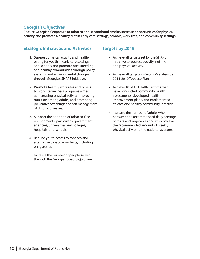### **Georgia's Objectives**

**Reduce Georgians' exposure to tobacco and secondhand smoke, increase opportunities for physical activity and promote a healthy diet in early care settings, schools, worksites, and community settings.** 

### **Strategic Initiatives and Activities**

- 1. **Support** physical activity and healthy eating for youth in early care settings and schools and promote breastfeeding and healthy communities through policy, systems, and environmental changes through Georgia's SHAPE initiative.
- 2. **Promote** healthy worksites and access to worksite wellness programs aimed at increasing physical activity, improving nutrition among adults, and promoting preventive screenings and self-management of chronic diseases.
- 3. Support the adoption of tobacco-free environments, particularly government agencies, universities and colleges, hospitals, and schools.
- 4. Reduce youth access to tobacco and alternative tobacco-products, including e-cigarettes.
- 5. Increase the number of people served through the Georgia Tobacco Quit Line.

### **Targets by 2019**

- Achieve all targets set by the SHAPE Initiative to address obesity, nutrition and physical activity.
- Achieve all targets in Georgia's statewide 2014-2019 Tobacco Plan.
- Achieve 18 of 18 Health Districts that have conducted community health assessments, developed health improvement plans, and implemented at least one healthy community initiative.
- Increase the number of adults who consume the recommended daily servings of fruits and vegetables and who achieve the recommended amount of weekly physical activity to the national average.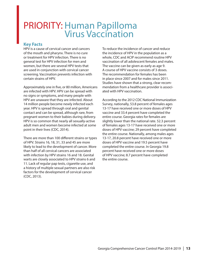### PRIORITY: Human Papilloma Virus Vaccination

### **Key Facts**

HPV is a cause of cervical cancer and cancers of the mouth and pharynx. There is no cure or treatment for HPV infection. There is no general test for HPV infection for men and women, but there are several HPV tests that are used in conjunction with cervical cancer screening. Vaccination prevents infection with certain strains of HPV.

Approximately one in five, or 80 million, Americans are infected with HPV. HPV can be spread with no signs or symptoms, and many people with HPV are unaware that they are infected. About 14 million people become newly infected each year. HPV is spread through oral and genital contact and can be spread, although rare, from pregnant women to their babies during delivery. HPV is so common that nearly all sexually-active adult men and women become infected at some point in their lives (CDC, 2014).

There are more than 100 different strains or types of HPV. Strains 16, 18, 31, 33 and 45 are more likely to lead to the development of cancer. More than half of all cervical cancers are associated with infection by HPV strains 16 and 18. Genital warts are closely associated to HPV strains 6 and 11. Lack of regular pap tests, cigarette use, and a history of multiple sexual partners are also risk factors for the development of cervical cancer (CDC, 2013).

To reduce the incidence of cancer and reduce the incidence of HPV in the population as a whole, CDC and ACIP recommend routine HPV vaccination of all adolescent females and males. The vaccine can be given as early as age 9. A course of HPV vaccine consists of 3 doses. The recommendation for females has been in place since 2007 and for males since 2011. Studies have shown that a strong, clear recommendation from a healthcare provider is associated with HPV vaccination.

According to the 2012 CDC National Immunization Survey, nationally, 53.8 percent of females ages 13-17 have received one or more doses of HPV vaccine and 33.4 percent have completed the entire course. Georgia rates for females are slightly lower than the national rate. 52.3 percent of females ages 13-17 have received one or more doses of HPV vaccine; 29 percent have completed the entire course. Nationally, among males ages 13-17, 20.8 percent have received one or more doses of HPV vaccine and 19.5 percent have completed the entire course. In Georgia 19.8 percent have received one or more doses of HPV vaccine; 8.7 percent have completed the entire course.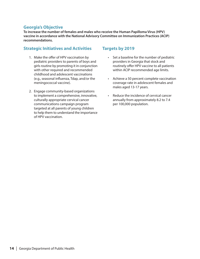### **Georgia's Objective**

**To increase the number of females and males who receive the Human Papilloma Virus (HPV) vaccine in accordance with the National Advisory Committee on Immunization Practices (ACIP) recommendations.** 

### **Strategic Initiatives and Activities**

- 1. Make the offer of HPV vaccination by pediatric providers to parents of boys and girls routine by promoting it in conjunction with other required and recommended childhood and adolescent vaccinations (e.g., seasonal influenza, Tdap, and/or the meningococcal vaccine).
- 2. Engage community-based organizations to implement a comprehensive, innovative, culturally appropriate cervical cancer communications campaign program targeted at all parents of young children to help them to understand the importance of HPV vaccination.

### **Targets by 2019**

- Set a baseline for the number of pediatric providers in Georgia that stock and routinely offer HPV vaccine to all patients within ACIP recommended age limits.
- Achieve a 50 percent complete vaccination coverage rate in adolescent females and males aged 13-17 years.
- Reduce the incidence of cervical cancer annually from approximately 8.2 to 7.4 per 100,000 population.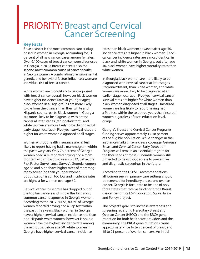### PRIORITY: Breast and Cervical Cancer Screening

### **Key Facts**

Breast cancer is the most common cancer diagnosed in women in Georgia, accounting for 31 percent of all new cancer cases among females. Over 6,100 cases of breast cancer were diagnosed in Georgia in 2010. Breast cancer is also the second most common cause of cancer deaths in Georgia women. A combination of environmental, genetic, and behavioral factors influence a woman's individual risk of breast cancer.

White women are more likely to be diagnosed with breast cancer overall, however black women have higher incidence rates at younger ages; black women in all age groups are more likely to die from the disease than their white and Hispanic counterparts. Black women in Georgia are more likely to be diagnosed with breast cancer at later stages (regional/distant), and white women are more likely to be diagnosed at early stage (localized). Five-year survival rates are higher for white women diagnosed at all stages.

Women without health insurance are far less likely to report having had a mammogram within the past two years. Only 76 percent of Georgia women aged 40+ reported having had a mammogram within past two years (2012, Behavioral Risk Factor Surveillance Survey). Georgia women age 65 and older have higher rates of mammography screening than younger women, but utilization is still too low and incidence rates are highest for women over age 60.

Cervical cancer in Georgia has dropped out of the top ten cancers and is now the 12th most common cancer diagnosed in Georgia women. According to the 2012 BRFSS, 80.5% of Georgia women reported having had a Pap test within the past three years. Black women in Georgia have a higher cervical cancer incidence rate than non-Hispanic white women; however Hispanic women have the highest incidence rate among these groups. Before age 50, white women in Georgia have higher cervical cancer incidence

rates than black women; however after age 50, incidence rates are higher in black women. Cervical cancer incidence rates are almost identical in black and white women in Georgia, but after age 40, black women have higher mortality rates than white women.

In Georgia, black women are more likely to be diagnosed with cervical cancer at later stages (regional/distant) than white women, and white women are more likely to be diagnosed at an earlier stage (localized). Five-year cervical cancer survival rates are higher for white women than black women diagnosed at all stages. Uninsured women are less likely to report having had a Pap test within the last three years than insured women regardless of race, education level, or age.

Georgia's Breast and Cervical Cancer Program's funding serves approximately 15-18 percent of the eligible population. While changes in the insurance market may increase coverage, Georgia's Breast and Cervical Cancer Early Detection Program will remain an essential program for the thousands of most vulnerable women still projected to be without access to preventive and diagnostic screenings in the future.

According to the USPSTF recommendations, all women seen in primary care settings should be screened for hereditary breast and ovarian cancer. Georgia is fortunate to be one of only three states that receive funding for the Breast Cancer Genomics ESP (Education, Surveillance and Policy) project.

The project's goal is to increase awareness and screening regarding Hereditary Breast and Ovarian Cancer (HBOC) and the BRCA gene mutation for both healthcare providers and the community. The BRCA gene mutations cause approximately five to ten percent of breast and 15 to 21 percent of ovarian cancers. An initial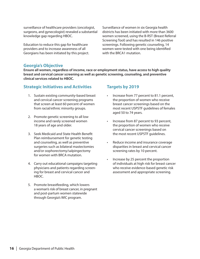surveillance of healthcare providers (oncologist, surgeons, and gynecologist) revealed a substantial knowledge gap regarding HBOC.

Education to reduce this gap for healthcare providers and to increase awareness of all Georgians has been initiated by this project.

Surveillance of women in six Georgia health districts has been initiated with more than 3600 women screened, using the B-RST (Breast Referral Screening Tool) and has resulted in 146 positive screenings. Following genetic counseling, 14 women were tested with one being identified with the BRCA1 mutation.

### **Georgia's Objective**

**Ensure all women, regardless of income, race or employment status, have access to high quality breast and cervical cancer screening as well as genetic screening, counseling, and preventive clinical services related to HBOC.** 

### **Strategic Initiatives and Activities**

- 1. Sustain existing community-based breast and cervical cancer screening programs that screen at least 60 percent of women from racial/ethnic minority groups.
- 2. Promote genetic screening to all low income and rarely screened women 18 years of age and older.
- 3. Seek Medicaid and State Health Benefit Plan reimbursement for genetic testing and counseling, as well as preventive surgeries such as bilateral mastectomies and/or oophorectomy/salpingectomy for women with BRCA mutation.
- 4. Carry out educational campaigns targeting physicians and patients regarding screening for breast and cervical cancer and HBOC.
- 5. Promote breastfeeding, which lowers a woman's risk of breast cancer, in pregnant and post-partum women statewide through Georgia's WIC program.

### **Targets by 2019**

- Increase from 77 percent to 81.1 percent, the proportion of women who receive breast cancer screenings based on the most recent USPSTF guidelines of females aged 50 to 74 years.
- Increase from 87 percent to 93 percent, the proportion of women who receive cervical cancer screenings based on the most recent USPSTF guidelines.
- Reduce income and insurance coverage disparities in breast and cervical cancer screening rates by 10 percent.
- Increase by 25 percent the proportion of individuals at high risk for breast cancer who receive evidence-based genetic risk assessment and appropriate screening.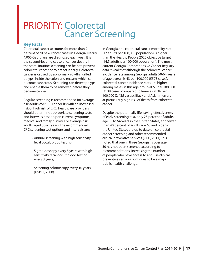### PRIORITY: Colorectal Cancer Screening

### **Key Facts**

Colorectal cancer accounts for more than 9 percent of all new cancer cases in Georgia. Nearly 4,000 Georgians are diagnosed each year. It is the second-leading cause of cancer deaths in the state. Routine screening can help to prevent colorectal cancer or to detect it early. Colorectal cancer is caused by abnormal growths, called polyps, inside the colon and rectum, which can become cancerous. Screening can detect polyps and enable them to be removed before they become cancer.

Regular screening is recommended for averagerisk adults over 50. For adults with an increased risk or high risk of CRC, healthcare providers should determine appropriate screening tests and intervals based upon current symptoms, medical and family history. For average risk adults aged 50-75 years, the recommended CRC screening test options and intervals are:

- Annual screening with high sensitivity fecal occult blood testing;
- Sigmoidoscopy every 5 years with high sensitivity fecal occult blood testing every 3 years;
- Screening colonoscopy every 10 years (USPTF, 2008).

In Georgia, the colorectal cancer mortality rate (17 adults per 100,000 population) is higher than the Healthy People 2020 objective target (14.5 adults per 100,000 population). The most current Georgia Comprehensive Cancer Registry data reveal that although the colorectal cancer incidence rate among Georgia adults 50-64 years of age overall is 43 per 100,000 (5573 cases), colorectal cancer incidence rates are higher among males in this age group at 51 per 100,000 (3138 cases) compared to females at 36 per 100,000 (2,435 cases). Black and Asian men are at particularly high risk of death from colorectal cancer.

Despite the potentially life-saving effectiveness of early screening test, only 25 percent of adults age 50 to 64 years in the United States, and fewer than 40 percent of adults age 65 and older in the United States are up to date on colorectal cancer screening and other recommended clinical preventive services (CDC, 2011). It is noted that one in three Georgians over age 50 has not been screened according to recommendations. Increasing the number of people who have access to and use clinical preventive services continues to be a major public health challenge.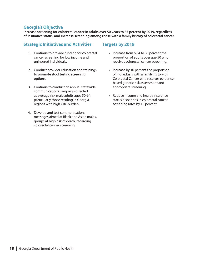### **Georgia's Objective**

**Increase screening for colorectal cancer in adults over 50 years to 85 percent by 2019, regardless of insurance status, and increase screening among those with a family history of colorectal cancer.** 

### **Strategic Initiatives and Activities**

- 1. Continue to provide funding for colorectal cancer screening for low income and uninsured individuals.
- 2. Conduct provider education and trainings to promote stool testing screening options.
- 3. Continue to conduct an annual statewide communications campaign directed at average risk male adults ages 50-64, particularly those residing in Georgia regions with high CRC burden.
- 4. Develop and test communications messages aimed at Black and Asian males, groups at high risk of death, regarding colorectal cancer screening.

### **Targets by 2019**

- Increase from 69.4 to 85 percent the proportion of adults over age 50 who receives colorectal cancer screening.
- Increase by 10 percent the proportion of individuals with a family history of Colorectal Cancer who receives evidencebased genetic risk assessment and appropriate screening.
- Reduce income and health insurance status disparities in colorectal cancer screening rates by 10 percent.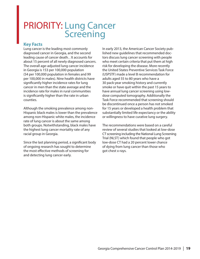### PRIORITY: Lung Cancer **Screening**

### **Key Facts**

Lung cancer is the leading most commonly diagnosed cancer in Georgia, and the second leading cause of cancer death. . It accounts for about 15 percent of all newly diagnosed cancers. The overall age-adjusted lung cancer incidence in Georgia is 153 per 100,000 population (54 per 100,000 population in females and 99 per 100,000 in males). Nine health districts have significantly higher incidence rates for lung cancer in men than the state average and the incidence rate for males in rural communities is significantly higher than the rate in urban counties.

Although the smoking prevalence among non-Hispanic black males is lower than the prevalence among non-Hispanic white males, the incidence rate of lung cancer is about the same among both groups. Notwithstanding, black males have the highest lung cancer mortality rate of any racial group in Georgia.

Since the last planning period, a significant body of ongoing research has sought to determine the most effective methods of screening for and detecting lung cancer early.

In early 2013, the American Cancer Society published new guidelines that recommended doctors discuss lung cancer screening with people who meet certain criteria that put them at high risk for developing the disease. More recently the United States Preventive Services Task Force (USPSTF) made a level B recommendation for adults aged 55 to 80 years who have a 30 pack-year smoking history and currently smoke or have quit within the past 15 years to have annual lung cancer screening using lowdose computed tomography. Additionally the Task Force recommended that screening should be discontinued once a person has not smoked for 15 years or developed a health problem that substantially limited life expectancy or the ability or willingness to have curative lung surgery.

The recommendations were based on a careful review of several studies that looked at low-dose CT screening including the National Lung Screening Trial (NLST) which found that people who got low-dose CT had a 20 percent lower chance of dying from lung cancer than those who got chest x-rays.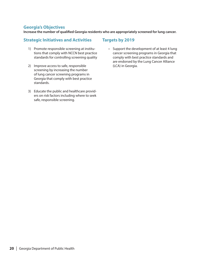### **Georgia's Objectives**

**Increase the number of qualified Georgia residents who are appropriately screened for lung cancer.** 

### **Strategic Initiatives and Activities**

- 1) Promote responsible screening at institutions that comply with NCCN best practice standards for controlling screening quality
- 2) Improve access to safe, responsible screening by increasing the number of lung cancer screening programs in Georgia that comply with best practice standards.
- 3) Educate the public and healthcare providers on risk factors including where to seek safe, responsible screening.

### **Targets by 2019**

• Support the development of at least 4 lung cancer screening programs in Georgia that comply with best practice standards and are endorsed by the Lung Cancer Alliance (LCA) in Georgia.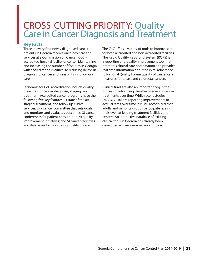## CROSS-CUTTING PRIORITY: Quality Care in Cancer Diagnosis and Treatment

### **Key Facts**

Three in every four newly diagnosed cancer patients in Georgia receive oncology care and services at a Commission on Cancer (CoC) accredited hospital facility or center. Maintaining and increasing the number of facilities in Georgia with accreditation is critical to reducing delays in diagnosis of cancer and variability in follow-up care.

Standards for CoC accreditation include quality measures for cancer diagnosis, staging, and treatment. Accredited cancer programs have the following five key features: 1) state of the art staging, treatment, and follow up clinical services; 2) a cancer committee that sets goals and monitors and evaluates outcomes; 3) cancer conferences for patient consultation; 4) quality improvement initiatives; and 5) cancer registries and databases for monitoring quality of care.

The CoC offers a variety of tools to improve care for both accredited and non-accredited facilities. The Rapid Quality Reporting System (RQRS) is a reporting and quality improvement tool that promotes clinical care coordination and provides real time information about hospital adherence to National Quality Forum quality of cancer care measures for breast and colorectal cancers.

Clinical trials are also an important cog in the process of advancing the effectiveness of cancer treatments over time. While recent studies (NCCN, 2010) are reporting improvements to accrual rates over time, it is still recognized that adults and minority groups participate less in trials even at leading treatment facilities and centers. An interactive database of existing clinical trials in Georgia has already been developed – www.georgiacancerinfo.org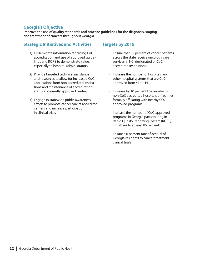### **Georgia's Objective**

**Improve the use of quality standards and practice guidelines for the diagnosis, staging and treatment of cancers throughout Georgia.** 

### **Strategic Initiatives and Activities**

- 1) Disseminate information regarding CoC accreditation and use of approved guidelines and RQRS to demonstrate value, especially to hospital administrators.
- 2) Provide targeted technical assistance and resources to allow for increased CoC applications from non-accredited institutions and maintenance of accreditation status at currently approved centers.
- 3) Engage in statewide public awareness efforts to promote cancer care at accredited centers and increase participation in clinical trials.

### **Targets by 2019**

- Ensure that 85 percent of cancer patients across the state receive oncology care services in NCI designated or CoC accredited institutions.
- Increase the number of hospitals and other hospital systems that are CoC approved from 41 to 44.
- Increase by 10 percent the number of non-CoC accredited hospitals or facilities formally affiliating with nearby COCapproved programs.
- Increase the number of CoC-approved programs in Georgia participating in Rapid Quality Reporting System (RQRS) initiatives to at least 85 percent.
- Ensure a 6 percent rate of accrual of Georgia residents to cancer treatment clinical trials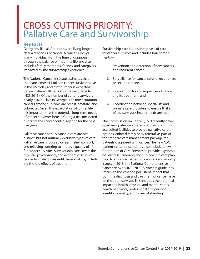### CROSS-CUTTING PRIORITY: Pallative Care and Survivorship

### **Key Facts**

Georgians, like all Americans, are living longer after a diagnosis of cancer. A cancer survivor is any individual from the time of diagnosis through the balance of his or her life and also includes family members, friends, and caregivers impacted by the survivorship experience.

The National Cancer Institute estimates that there are almost 14 million cancer survivors alive in the US today and that number is expected to reach almost 18 million in the next decade (NCI, 2013). Of the number of current survivors nearly 350,000 live in Georgia. The most common cancers among survivors are breast, prostate, and colorectal. Given this expectation of longer life, it is important that the potential long-term needs of cancer survivors here in Georgia be considered as part of the cancer control agenda for the next five years.

Palliative care and survivorship care are two distinct, but not mutually exclusive types of care. Palliative care is focused on pain relief, comfort, and relieving suffering to improve quality of life for cancer survivors. Survivorship care covers the physical, psychosocial, and economic issues of cancer from diagnosis until the end of life, including the late effects of treatment.

Survivorship care is a distinct phase of care for cancer survivors and includes four components—

- 1. Prevention and detection of new cancers and recurrent cancer;
- 2. Surveillance for cancer spread, recurrence, or second cancers;
- 3. Intervention for consequences of cancer and its treatment; and
- 4. Coordination between specialists and primary care providers to ensure that all of the survivor's health needs are met.

The Commission on Cancer (CoC) recently developed new patient-centered standards requiring accredited facilities to provide palliative care options, either directly or by referral, as part of the standard care management package for patients diagnosed with cancer. The new CoC patient-centered standards also included new Continuum of Care Services to provide psychosocial distress screening and survivorship care planning to all cancer patients to address survivorship issues. In 2013, the National Comprehensive Cancer Network (NCCN) Survivorship guidelines "focus on the vast and persistent impact that both the diagnosis and treatment of cancer have on the adult survivor. This includes the potential impact on health, physical and mental states, health behaviors, professional and personal identity, sexuality, and financial standing".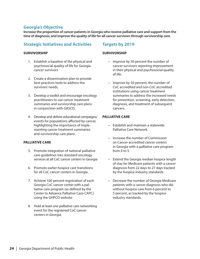### **Georgia's Objective**

**Increase the proportion of cancer patients in Georgia who receive palliative care and support from the time of diagnosis; and improve the quality of life for all cancer survivors through survivorship care.**

### **Strategic Initiatives and Activities**

#### **SURVIVORSHIP**

- 1. Establish a baseline of the physical and psychosocial quality of life for Georgia cancer survivors
- 2. Create a dissemination plan to provide best practices tools to address the survivors' needs.
- 3. Develop a toolkit and encourage oncology practitioners to use cancer treatment summaries and survivorship care plans in conjunction with GASCO.
- 4. Develop and deliver educational campaigns/ events for populations affected by cancer, highlighting the importance of implementing cancer treatment summaries and survivorship care plans.

#### **PALLIATIVE CARE**

- 5. Promote integration of national palliative care guidelines into standard oncology services at all CoC cancer centers in Georgia
- 6. Promote earlier hospice care transitions for all CoC cancer centers in Georgia.
- 7. Achieve 100 percent registration of each Georgia CoC cancer center with a palliative care program (as defined by the Center to Advance Palliative Care-CAPC) using the GHPCO website.
- 8. Hold at least one palliative care networking event for the registered CoC cancer centers in Georgia.

### **Targets by 2019**

#### **SURVIVORSHIP**

- Improve by 50 percent the number of cancer survivors reporting improvement in their physical and psychosocial quality of life.
- Improve by 50 percent, the number of CoC accredited and non CoC accredited institutions using cancer treatment summaries to address the increased needs for prevention, screening, early detection, diagnosis, and treatment of subsequent cancers.

#### **PALLIATIVE CARE**

- Establish and maintain a statewide Palliative Care Network.
- Increase the number of Commission on Cancer accredited cancer centers in Georgia with a palliative care program from 0 to 5.
- Extend the Georgia median hospice length of stay for Medicare patients with a cancer diagnosis from 22 days to 27 days tracked by the hospice industry standards.
- Decrease the number of Georgia Medicare patients with a cancer diagnosis who die without hospice care from 6 percent to 5 percent, as tracked by the hospice industry standards.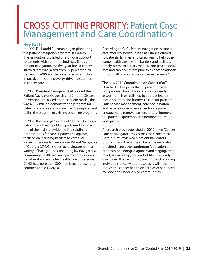### CROSS-CUTTING PRIORITY: Patient Case Management and Care Coordination

### **Key Facts**

In 1990, Dr. Harold Freeman began pioneering the patient navigation program in Harlem. The navigators provided one-on-one support to patients with abnormal findings. Through patient navigation, the five-year breast cancer survival rate was raised from 39 percent to 70 percent in 2000 and demonstrated a reduction in racial, ethnic and poverty-driven disparities in cancer care.

In 2005, President George W. Bush signed the Patient Navigator Outreach and Chronic Disease Prevention Act. Based on the Harlem model, this was a \$25-million demonstration program for patient navigators and outreach, with a requirement to link the program to existing screening programs.

In 2008, the Georgia Society of Clinical Oncology (GASCO) and Georgia CORE partnered to form one of the first statewide multi-disciplinary organizations for cancer patient navigators, focused on reducing barriers to care and increasing access to care. Cancer Patient Navigators of Georgia (CPNG) is open to navigators from a variety of backgrounds, including lay navigators, community health workers, promotoras, nurses, social workers, and other health care professionals. CPNG has more than 300 members representing counties across Georgia.

According to CoC, "Patient navigation in cancer care refers to individualized assistance offered to patients, families, and caregivers to help overcome health care system barriers and facilitate timely access to quality medical and psychosocial care and can occur from prior to a cancer diagnosis through all phases of the cancer experience."

The new 2012 Commission on Cancer (CoC) Standard 3.1 requires that "a patient navigation process, driven by a community needs assessment, is established to address health care disparities and barriers to care for patients". Patient case management, care coordination, and navigation services can enhance patient engagement, remove barriers to care, improve the patient experience, and demonstrate value and quality.

A research study published in 2012 titled "Cancer Patient Navigator Tasks across the Cancer Care Continuum", reviewed 5 patient navigators programs and the range of tasks the navigators provided across the continuum (education and outreach, screening, diagnosis and staging, treatment, survivorship, and end-of-life). The study concluded that recruiting, training, and retaining individuals to carry out these tasks will help reduce the cancer health disparities experienced by poor and underserved communities.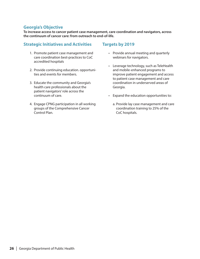### **Georgia's Objective**

**To increase access to cancer patient case management, care coordination and navigators, across the continuum of cancer care: from outreach to end-of-life.**

### **Strategic Initiatives and Activities**

- 1. Promote patient case management and care coordination best-practices to CoC accredited hospitals
- 2. Provide continuing education. opportunities and events for members.
- 3. Educate the community and Georgia's health care professionals about the patient navigators' role across the continuum of care.
- 4. Engage CPNG participation in all working groups of the Comprehensive Cancer Control Plan.

### **Targets by 2019**

- Provide annual meeting and quarterly webinars for navigators.
- Leverage technology, such as TeleHealth and mobile-enhanced programs to improve patient engagement and access to patient case management and care coordination in underserved areas of Georgia.
- Expand the education opportunities to:
	- a. Provide lay case management and care coordination training to 25% of the CoC hospitals.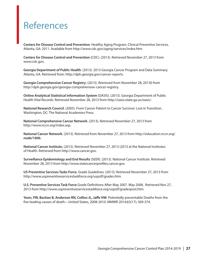### References

**Centers for Disease Control and Prevention**. Healthy Aging Program, Clinical Preventive Services. Atlanta, GA: 2011. Available from http://www.cdc.gov/aging/services/index.htm

**Centers for Disease Control and Prevention** (CDC). (2013). Retrieved November 27, 2013 from www.cdc.gov.

**Georgia Department of Public Health**. (2013). 2013 Georgia Cancer Program and Data Summary. Atlanta, GA. Retrieved from: http://dph.georgia.gov/cancer-reports.

**Georgia Comprehensive Cancer Registry**. (2013). Retrieved from November 28, 20130 from http://dph.georgia.gov/georgia-comprehensive-cancer-registry.

**Online Analytical Statistical Information System** (OASIS). (2013). Georgia Department of Public Health Vital Records. Retrieved November 28, 2013 from http://oasis.state.ga.us/oasis/.

**National Research Council**. (2005). From Cancer Patient to Cancer Survivor: Lost in Transition. Washington, DC: The National Academies Press.

**National Comprehensive Cancer Network**. (2013). Retrieved November 27, 2013 from http://www.nccn.org/index.asp.

**National Cancer Network**. (2013). Retrieved from November 27, 2013 from http://education.nccn.org/ **node/1606.**

**National Cancer Institute.** (2013). Retrieved November 27, 2013 (2013 at the National Institutes of Health. Retrieved from http://www.cancer.gov.

**Surveillance Epidemiology and End Results** (SEER). (2013). National Cancer Institute. Retrieved November 28, 2013 from http://www.statecancerprofiles.cancer.gov.

**US Preventive Services Tasks Force**. Grade Guidelines. (2013). Retrieved November 27, 2013 from http://www.uspreventiveservicestaskforce.org/uspstf/grades.htm.

**U.S. Preventive Services Task Force** Grade Definitions After May 2007. May 2008. Retrieved Nov 27, 2013 from http://www.uspreventiveservicestaskforce.org/uspstf/gradespost.htm

**Yoon, PW, Bastian B, Anderson RN, Collins JL, Jaffe HW**. Potentially preventable Deaths from the five leading causes of death—United States, 2008-2010. MMWR 2014;63(17); 369-374.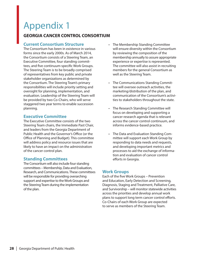### **GEORGIA CANCER CONTROL CONSORTIUM**

### **Current Consortium Structure**

The Consortium has been in existence in various forms since the early 2000s. As of March 2014, the Consortium consists of a Steering Team, an Executive Committee, four standing committees, and five continuum-specific Work Groups. The Steering Team is to be broadly comprised of representatives from key public and private stakeholder organizations as determined by the Consortium. The Steering Team's primary responsibilities will include priority setting and oversight for planning, implementation, and evaluation. Leadership of the Steering Team will be provided by two Co-Chairs, who will serve staggered two year terms to enable succession planning.

### **Executive Committee**

The Executive Committee consists of the two Steering Team chairs, the Immediate Past Chair, and leaders from the Georgia Department of Public Health and the Governor's Office (or the Office of Planning and Budget). This committee will address policy and resource issues that are likely to have an impact on the administration of the cancer control plan.

### **Standing Committees**

The Consortium will also include four standing committees – Membership, Data and Evaluation, Research, and Communications. These committees will be responsible for providing overarching support and expertise to the Work Groups and the Steering Team during the implementation of the plan.

- The Membership Standing Committee will ensure diversity within the Consortium by reviewing the composition of the membership annually to assure appropriate experience or expertise is represented. The committee will also assist in recruiting members for the general Consortium as well as the Steering Team.
- The Communications Standing Committee will oversee outreach activities, the marketing/distribution of the plan, and communication of the Consortium's activities to stakeholders throughout the state.
- The Research Standing Committee will focus on developing and supporting a cancer research agenda that is relevant across the cancer control continuum, and informs evidence-based practice.
- The Data and Evaluation Standing Committee will support each Work Group by responding to data needs and requests, and developing important metrics and processes to aid the exchange of information and evaluation of cancer control efforts in Georgia.

#### **Work Groups**

Each of the five Work Groups – Prevention and Education, Early Detection and Screening, Diagnosis, Staging and Treatment, Palliative Care, and Survivorship – will monitor statewide activities across the priorities and develop annual work plans to support long term cancer control efforts. Co-Chairs of each Work Group are expected to serve as members of the Steering Team.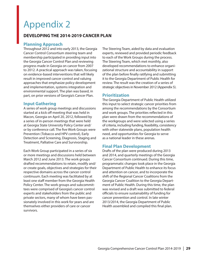### **DEVELOPING THE 2014-2019 CANCER PLAN**

### **Planning Approach**

Throughout 2012 and into early 2013, the Georgia Cancer Control Consortium steering team and membership participated in providing input into the Georgia Cancer Control Plan and reviewing progress made in Georgia on cancer from 2007 to 2012. A practical approach was taken, focusing on evidence-based interventions that will likely result in improved cancer control and valuing approaches that emphasize policy development and implementation, systems integration and environmental support. The plan was based, in part, on prior versions of Georgia's Cancer Plan.

### **Input Gathering**

A series of work group meetings and discussions started at a kick off meeting that was held in Macon, Georgia on April 20, 2012, followed by a series of in-person meetings that were held at Georgia State University Policy Center and/ or by conference call. The five Work Groups were Prevention (Tobacco and HPV control), Early Detection and Screening, Diagnosis, Staging and Treatment, Palliative Care and Survivorship.

Each Work Group participated in a series of six or more meetings and discussions held between March 2012 and June 2013. The work groups drafted recommendations to retain, modify and/ or create goals, objectives and strategies for their respective domains across the cancer control continuum. Each meeting was facilitated by at least one staff member from the Georgia Health Policy Center. The work groups and subcommittees were comprised of Georgia's cancer control experts and stakeholders from the public and private sectors, many of whom have been passionately involved in this work for years and are themselves either providers of care or cancer survivors.

The Steering Team, aided by data and evaluation experts, reviewed and provided periodic feedback to each of the Work Groups during the process. The Steering Team, which met monthly, also developed recommendations to enhance organizational structure and accountability in support of the plan before finally ratifying and submitting it to the Georgia Department of Public Health for review. The result was the creation of a series of strategic objectives in November 2012 (Appendix 5).

### **Prioritization**

The Georgia Department of Public Health utilized this input to select strategic cancer priorities from among the recommendations by the Consortium and work groups. The priorities reflected in this plan were drawn from the recommendations of the workgroups and were selected using a series of criteria, including funding, feasibility, consistency with other statewide plans, population health need, and opportunities for Georgia to serve as a national leader in these arenas.

### **Final Plan Development**

Drafts of the plan were produced during 2013 and 2014, and quarterly meetings of the Georgia Cancer Consortium continued. During this time, programmatic changes took place in the Georgia Department of Public Health to enhance its focus and attention on cancer, and to incorporate the shift of the Regional Cancer Coalitions from the Georgia Cancer Coalition to the Georgia Department of Public Health. During this time, the plan was revised and a draft was submitted to federal officials to ensure sustainability of funding for cancer prevention and control. In late winter 2013/2014, the Georgia Department of Public Health assembled and compiled this final plan.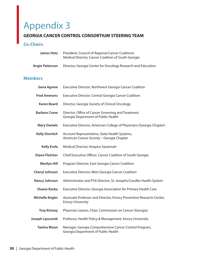### **GEORGIA CANCER CONTROL CONSORTIUM STEERING TEAM**

### **Co-Chairs**

| James Hotz      | President, Council of Regional Cancer Coalitions<br>Medical Director, Cancer Coalition of South Georgia |
|-----------------|---------------------------------------------------------------------------------------------------------|
| Angie Patterson | Director, Georgia Center for Oncology Research and Education                                            |

### **Members**

| <b>Gena Agnew</b>      | Executive Director, Northwest Georgia Cancer Coalition                                         |
|------------------------|------------------------------------------------------------------------------------------------|
| <b>Fred Ammons</b>     | Executive Director, Central Georgia Cancer Coalition                                           |
| <b>Karen Beard</b>     | Director, Georgia Society of Clinical Oncology                                                 |
| <b>Barbara Crane</b>   | Director, Office of Cancer Screening and Treatment,<br>Georgia Department of Public Health     |
| <b>Mary Daniels</b>    | Executive Director, American College of Physicians (Georgia Chapter)                           |
| <b>Kelly Drevitch</b>  | Account Representative, State Health Systems,<br>American Cancer Society - Georgia Chapter     |
| <b>Kelly Erola</b>     | Medical Director, Hospice Savannah                                                             |
| <b>Diane Fletcher</b>  | Chief Executive Officer, Cancer Coalition of South Georgia                                     |
| <b>Marilyn Hill</b>    | Program Director, East Georgia Cancer Coalition                                                |
| <b>Cheryl Johnson</b>  | Executive Director, West Georgia Cancer Coalition                                              |
| <b>Nancy Johnson</b>   | Administrator and PSA Director, St. Joseph's/Candler Health System                             |
| <b>Duane Kavka</b>     | Executive Director, Georgia Association for Primary Health Care                                |
| <b>Michelle Kegler</b> | Associate Professor and Director, Emory Prevention Research Center,<br><b>Emory University</b> |
| <b>Troy Kimsey</b>     | Physician Liaison, Chair, Commission on Cancer (Georgia)                                       |
| Joseph Lipscomb        | Professor, Health Policy & Management, Emory University                                        |
| <b>Tamira Moon</b>     | Manager, Georgia Comprehensive Cancer Control Program,<br>Georgia Department of Public Health  |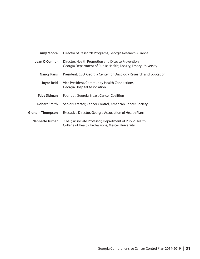| <b>Amy Moore</b>       | Director of Research Programs, Georgia Research Alliance                                                             |  |
|------------------------|----------------------------------------------------------------------------------------------------------------------|--|
| Jean O'Connor          | Director, Health Promotion and Disease Prevention,<br>Georgia Department of Public Health; Faculty, Emory University |  |
| <b>Nancy Paris</b>     | President, CEO, Georgia Center for Oncology Research and Education                                                   |  |
| <b>Joyce Reid</b>      | Vice President, Community Health Connections,<br>Georgia Hospital Association                                        |  |
| Toby Sidman            | Founder, Georgia Breast Cancer Coalition                                                                             |  |
| <b>Robert Smith</b>    | Senior Director, Cancer Control, American Cancer Society                                                             |  |
| <b>Graham Thompson</b> | Executive Director, Georgia Association of Health Plans                                                              |  |
| <b>Nannette Turner</b> | Chair, Associate Professor, Department of Public Health,<br>College of Health Professions, Mercer University         |  |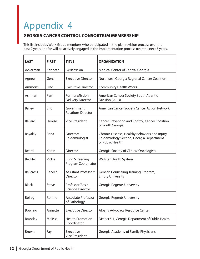### **GEORGIA CANCER CONTROL CONSORTIUM MEMBERSHIP**

This list includes Work Group members who participated in the plan revision process over the past 2 years and/or will be actively engaged in the implementation process over the next 5 years.

| <b>LAST</b>      | <b>FIRST</b> | <b>TITLE</b>                                      | <b>ORGANIZATION</b>                                                                                           |
|------------------|--------------|---------------------------------------------------|---------------------------------------------------------------------------------------------------------------|
| Ackerman         | Kenneth      | Geriatrician                                      | Medical Center of Central Georgia                                                                             |
| Agnew            | Gena         | <b>Executive Director</b>                         | Northwest Georgia Regional Cancer Coalition                                                                   |
| Ammons           | Fred         | <b>Executive Director</b>                         | <b>Community Health Works</b>                                                                                 |
| Ashman           | Pam          | <b>Former Mission</b><br><b>Delivery Director</b> | American Cancer Society South Atlantic<br>Division (2013)                                                     |
| <b>Bailey</b>    | Eric         | Government<br><b>Relations Director</b>           | American Cancer Society Cancer Action Network                                                                 |
| <b>Ballard</b>   | Denise       | <b>Vice President</b>                             | <b>Cancer Prevention and Control, Cancer Coalition</b><br>of South Georgia                                    |
| <b>Bayakly</b>   | Rana         | Director/<br>Epidemiologist                       | Chronic Disease, Healthy Behaviors and Injury<br>Epidemiology Section, Georgia Department<br>of Public Health |
| Beard            | Karen        | <b>Director</b>                                   | Georgia Society of Clinical Oncologists                                                                       |
| <b>Beckler</b>   | Vickie       | Lung Screening<br>Program Coordinator             | Wellstar Health System                                                                                        |
| <b>Bellcross</b> | Cecelia      | Assistant Professor/<br>Director                  | Genetic Counseling Training Program,<br><b>Emory University</b>                                               |
| <b>Black</b>     | Steve        | Professor/Basic<br><b>Science Director</b>        | Georgia Regents University                                                                                    |
| <b>Bollag</b>    | Ronnie       | <b>Associate Professor</b><br>of Pathology        | Georgia Regents University                                                                                    |
| Bowling          | Annette      | <b>Executive Director</b>                         | Albany Advocacy Resource Center                                                                               |
| <b>Brantley</b>  | Melissa      | <b>Health Promotion</b><br>Coordinator            | District 5-1, Georgia Department of Public Health                                                             |
| <b>Brown</b>     | Fay          | Executive<br><b>Vice President</b>                | Georgia Academy of Family Physicians                                                                          |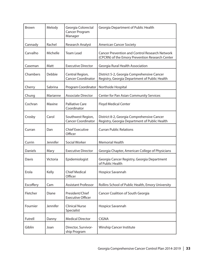| <b>Brown</b> | Melody   | Georgia Colorectal<br>Cancer Program<br>Manager | Georgia Department of Public Health                                                                      |
|--------------|----------|-------------------------------------------------|----------------------------------------------------------------------------------------------------------|
| Cannady      | Rachel   | <b>Research Analyst</b>                         | <b>American Cancer Society</b>                                                                           |
| Carvalho     | Michelle | <b>Team Lead</b>                                | <b>Cancer Prevention and Control Research Network</b><br>(CPCRN) of the Emory Prevention Research Center |
| Caseman      | Matt     | <b>Executive Director</b>                       | Georgia Rural Health Association                                                                         |
| Chambers     | Debbie   | Central Region,<br><b>Cancer Coordinator</b>    | District 5-2, Georgia Comprehensive Cancer<br>Registry, Georgia Department of Public Health              |
| Cherry       | Sabrina  | Program Coordinator                             | Northside Hospital                                                                                       |
| Chung        | Marianne | <b>Associate Director</b>                       | <b>Center for Pan Asian Community Services</b>                                                           |
| Cochran      | Maxine   | <b>Palliative Care</b><br>Coordinator           | <b>Floyd Medical Center</b>                                                                              |
| Crosby       | Carol    | Southwest Region,<br><b>Cancer Coordinator</b>  | District 8-2, Georgia Comprehensive Cancer<br>Registry, Georgia Department of Public Health              |
| Curran       | Dan      | <b>Chief Executive</b><br>Officer               | <b>Curran Public Relations</b>                                                                           |
| Currin       | Jennifer | Social Worker                                   | <b>Memorial Health</b>                                                                                   |
| Daniels      | Mary     | <b>Executive Director</b>                       | Georgia Chapter, American College of Physicians                                                          |
| Davis        | Victoria | Epidemiologist                                  | Georgia Cancer Registry, Georgia Department<br>of Public Health                                          |
| Erola        | Kelly    | <b>Chief Medical</b><br>Officer                 | Hospice Savannah                                                                                         |
| Escoffery    | Cam      | <b>Assistant Professor</b>                      | Rollins School of Public Health, Emory University                                                        |
| Fletcher     | Diane    | President/Chief<br><b>Executive Officer</b>     | Cancer Coalition of South Georgia                                                                        |
| Fournier     | Jennifer | <b>Clinical Nurse</b><br>Specialist             | Hospice Savannah                                                                                         |
| Futrell      | Danny    | <b>Medical Director</b>                         | <b>CIGNA</b>                                                                                             |
| Giblin       | Joan     | Director, Survivor-<br>ship Program             | <b>Winship Cancer Institute</b>                                                                          |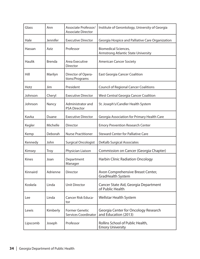| Glass         | Ann           | Associate Professor/<br><b>Associate Director</b>    | Institute of Gerontology, University of Georgia                           |
|---------------|---------------|------------------------------------------------------|---------------------------------------------------------------------------|
| Hale          | Jennifer      | <b>Executive Director</b>                            | Georgia Hospice and Palliative Care Organization                          |
| Hassan        | Aziz          | Professor                                            | <b>Biomedical Sciences,</b><br><b>Armstrong Atlantic State University</b> |
| <b>Haulik</b> | <b>Brenda</b> | Area Executive<br><b>Director</b>                    | <b>American Cancer Society</b>                                            |
| Hill          | Marilyn       | Director of Opera-<br>tions/Programs                 | <b>East Georgia Cancer Coalition</b>                                      |
| Hotz          | Jim           | President                                            | <b>Council of Regional Cancer Coalitions</b>                              |
| Johnson       | Cheryl        | <b>Executive Director</b>                            | West Central Georgia Cancer Coalition                                     |
| Johnson       | Nancy         | Administrator and<br><b>PSA Director</b>             | St. Joseph's/Candler Health System                                        |
| Kavka         | Duane         | <b>Executive Director</b>                            | Georgia Association for Primary Health Care                               |
| Kegler        | Michelle      | Director                                             | <b>Emory Prevention Research Center</b>                                   |
| Kemp          | Deborah       | <b>Nurse Practitioner</b>                            | <b>Steward Center for Palliative Care</b>                                 |
| Kennedy       | John          | <b>Surgical Oncologist</b>                           | <b>DeKalb Surgical Associates</b>                                         |
| Kimsey        | <b>Troy</b>   | Physician Liaison                                    | Commission on Cancer (Georgia Chapter)                                    |
| <b>Kines</b>  | Joan          | Department<br>Manager                                | <b>Harbin Clinic Radiation Oncology</b>                                   |
| Kinnaird      | Adrienne      | <b>Director</b>                                      | Avon Comprehensive Breast Center,<br>GradHealth System                    |
| Koskela       | Linda         | <b>Unit Director</b>                                 | Cancer State Aid, Georgia Department<br>of Public Health                  |
| Lee           | Linda         | Cancer Risk Educa-<br>tor                            | <b>Wellstar Health System</b>                                             |
| Lewis         | Kimberly      | <b>Former Genetic</b><br><b>Services Coordinator</b> | Georgia Center for Oncology Research<br>and Education (2013)              |
| Lipscomb      | Joseph        | Professor                                            | Rollins School of Public Health,<br><b>Emory University</b>               |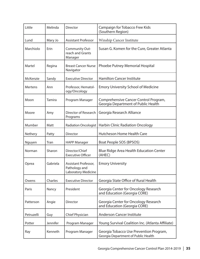| Little     | Melinda  | <b>Director</b>                                              | Campaign for Tobacco Free Kids<br>(Southern Region)                            |
|------------|----------|--------------------------------------------------------------|--------------------------------------------------------------------------------|
| Lund       | Mary Jo  | <b>Assistant Professor</b>                                   | <b>Winship Cancer Institute</b>                                                |
| Marchiolo  | Erin     | Community Out-<br>reach and Grants<br>Manager                | Susan G. Komen for the Cure, Greater Atlanta                                   |
| Martel     | Regina   | <b>Breast Cancer Nurse</b><br>Navigator                      | Phoebe Putney Memorial Hospital                                                |
| McKenzie   | Sandy    | <b>Executive Director</b>                                    | <b>Hamilton Cancer Institute</b>                                               |
| Mertens    | Ann      | Professor, Hematol-<br>ogy/Oncology                          | <b>Emory University School of Medicine</b>                                     |
| Moon       | Tamira   | Program Manager                                              | Comprehensive Cancer Control Program,<br>Georgia Department of Public Health   |
| Moore      | Amy      | Director of Research<br>Programs                             | Georgia Research Alliance                                                      |
| Mumber     | Matt     | <b>Radiation Oncologist</b>                                  | <b>Harbin Clinic Radiation Oncology</b>                                        |
| Nethery    | Patty    | Director                                                     | Hutcheson Home Health Care                                                     |
| Nguyen     | Tran     | <b>HAPP Manager</b>                                          | Boat People SOS (BPSOS)                                                        |
| Norman     | Sharon   | Director/Chief<br><b>Executive Officer</b>                   | <b>Blue Ridge Area Health Education Center</b><br>(AHEC)                       |
| Oprea      | Gabriela | Assistant Professor,<br>Pathology and<br>Laboratory Medicine | <b>Emory University</b>                                                        |
| Owens      | Charles  | <b>Executive Director</b>                                    | Georgia State Office of Rural Health                                           |
| Paris      | Nancy    | President                                                    | Georgia Center for Oncology Research<br>and Education (Georgia CORE)           |
| Patterson  | Angie    | <b>Director</b>                                              | Georgia Center for Oncology Research<br>and Education (Georgia CORE)           |
| Petruzelli | Guy      | Chief Physician                                              | <b>Anderson Cancer Institute</b>                                               |
| Potter     | Jennifer | Program Manager                                              | Young Survival Coalition Inc. (Atlanta Affiliate)                              |
| Ray        | Kenneth  | Program Manager                                              | Georgia Tobacco Use Prevention Program,<br>Georgia Department of Public Health |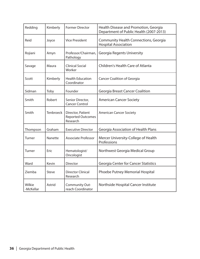| Redding             | Kimberly         | <b>Former Director</b>                                    | Health Disease and Promotion, Georgia<br>Department of Public Health (2007-2013) |
|---------------------|------------------|-----------------------------------------------------------|----------------------------------------------------------------------------------|
| Reid                | Joyce            | <b>Vice President</b>                                     | Community Health Connections, Georgia<br><b>Hospital Association</b>             |
| Rojiani             | Amyn             | Professor/Chairman,<br>Pathology                          | <b>Georgia Regents University</b>                                                |
| Savage              | Maura            | <b>Clinical Social</b><br>Worker                          | <b>Children's Health Care of Atlanta</b>                                         |
| Scott               | Kimberly         | <b>Health Education</b><br>Coordinator                    | <b>Cancer Coalition of Georgia</b>                                               |
| Sidman              | Toby             | Founder                                                   | <b>Georgia Breast Cancer Coalition</b>                                           |
| Smith               | Robert           | Senior Director,<br><b>Cancer Control</b>                 | <b>American Cancer Society</b>                                                   |
| Smith               | <b>Tenbroeck</b> | Director, Patient<br><b>Reported Outcomes</b><br>Research | <b>American Cancer Society</b>                                                   |
| Thompson            | Graham           | <b>Executive Director</b>                                 | <b>Georgia Association of Health Plans</b>                                       |
| Turner              | Nanette          | <b>Associate Professor</b>                                | Mercer University-College of Health<br>Professions                               |
| Turner              | Eric             | Hematologist/<br>Oncologist                               | Northwest Georgia Medical Group                                                  |
| Ward                | Kevin            | Director                                                  | <b>Georgia Center for Cancer Statistics</b>                                      |
| Ziemba              | Steve            | <b>Director Clinical</b><br>Research                      | Phoebe Putney Memorial Hospital                                                  |
| Wilkie<br>-McKellar | Astrid           | Community Out-<br>reach Coordinator                       | Northside Hospital Cancer Institute                                              |